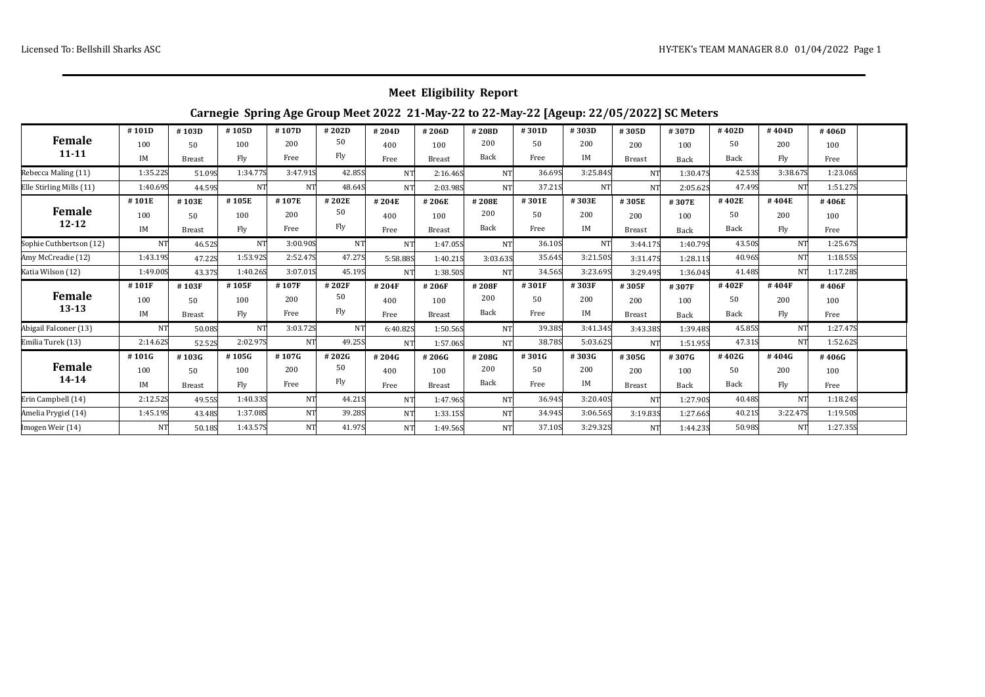## **Meet Eligibility Report**

## **Carnegie Spring Age Group Meet 2022 21-May-22 to 22-May-22 [Ageup: 22/05/2022] SC Meters**

| <b>Female</b><br>$11 - 11$ | #101D     | #103D         | #105D    | #107D     | #202D     | #204D          | #206D         | #208D     | #301D  | #303D     | #305D         | #307D    | #402D  | #404D     | #406D    |  |
|----------------------------|-----------|---------------|----------|-----------|-----------|----------------|---------------|-----------|--------|-----------|---------------|----------|--------|-----------|----------|--|
|                            | 100       | $50^{\circ}$  | 100      | 200       | 50        | 400            | 100           | 200       | 50     | 200       | 200           | 100      | 50     | 200       | 100      |  |
|                            | IM        | <b>Breast</b> | Fly      | Free      | Fly       | Free           | <b>Breast</b> | Back      | Free   | IM        | <b>Breast</b> | Back     | Back   | Fly       | Free     |  |
| Rebecca Maling (11)        | 1:35.22S  | 51.09S        | 1:34.775 | 3:47.91S  | 42.85S    | <b>NT</b>      | 2:16.46S      | <b>NT</b> | 36.69S | 3:25.845  | NT            | 1:30.47S | 42.53S | 3:38.67S  | 1:23.06S |  |
| Elle Stirling Mills (11)   | 1:40.69S  | 44.59S        | NT       | <b>NT</b> | 48.64S    | <b>NT</b>      | 2:03.98S      | NT        | 37.21S | <b>NT</b> | <b>NT</b>     | 2:05.62S | 47.49S | <b>NT</b> | 1:51.27S |  |
| Female<br>$12 - 12$        | #101E     | #103E         | #105E    | #107E     | #202E     | #204E          | #206E         | #208E     | #301E  | #303E     | #305E         | #307E    | #402E  | #404E     | #406E    |  |
|                            | 100       | 50            | 100      | 200       | 50        | 400            | 100           | 200       | 50     | 200       | 200           | 100      | 50     | 200       | 100      |  |
|                            | IM        | <b>Breast</b> | Fly      | Free      | Fly       | Free           | <b>Breast</b> | Back      | Free   | IM        | <b>Breast</b> | Back     | Back   | Fly       | Free     |  |
| Sophie Cuthbertson (12)    | <b>NT</b> | 46.52S        | NT       | 3:00.90S  | <b>NT</b> | N <sub>T</sub> | 1:47.05S      | NT.       | 36.10S | NT        | 3:44.17S      | 1:40.795 | 43.50S | <b>NT</b> | 1:25.67S |  |
| Amy McCreadie (12)         | 1:43.195  | 47.22S        | 1:53.92S | 2:52.47S  | 47.27S    | 5:58.885       | 1:40.21S      | 3:03.635  | 35.64S | 3:21.50S  | 3:31.475      | 1:28.11S | 40.96S | NT        | 1:18.555 |  |
| Katia Wilson (12)          | 1:49.00S  | 43.37S        | 1:40.26S | 3:07.01S  | 45.19S    | NT             | 1:38.50S      | <b>NT</b> | 34.56S | 3:23.69S  | 3:29.495      | 1:36.045 | 41.48S | <b>NT</b> | 1:17.28S |  |
| Female<br>$13 - 13$        | #101F     | #103F         | #105F    | #107F     | #202F     | #204F          | #206F         | #208F     | #301F  | #303F     | #305F         | #307F    | #402F  | #404F     | #406F    |  |
|                            | 100       | 50            | 100      | 200       | 50        | 400            | 100           | 200       | 50     | 200       | 200           | 100      | 50     | 200       | 100      |  |
|                            | IM        | <b>Breast</b> | Fly      | Free      | Fly       | Free           | <b>Breast</b> | Back      | Free   | <b>IM</b> | <b>Breast</b> | Back     | Back   | Fly       | Free     |  |
| Abigail Falconer (13)      | <b>NT</b> | 50.08S        | NT.      | 3:03.725  | <b>NT</b> | 6:40.82S       | 1:50.56S      | NT        | 39.38S | 3:41.345  | 3:43.385      | 1:39.48S | 45.85S | <b>NT</b> | 1:27.475 |  |
| Emilia Turek (13)          | 2:14.62S  | 52.52S        | 2:02.97S | <b>NT</b> | 49.25S    | <b>NT</b>      | 1:57.06S      | NT        | 38.78S | 5:03.62S  | <b>NT</b>     | 1:51.95S | 47.31S | <b>NT</b> | 1:52.62S |  |
| <b>Female</b><br>$14 - 14$ | #101G     | #103G         | #105G    | #107G     | #202G     | #204G          | #206G         | #208G     | #301G  | #303G     | #305G         | #307G    | #402G  | #404G     | #406G    |  |
|                            | 100       | $50^{\circ}$  | 100      | 200       | 50        | 400            | 100           | 200       | 50     | 200       | 200           | 100      | 50     | 200       | 100      |  |
|                            | IM        | <b>Breast</b> | Fly      | Free      | Fly       | Free           | <b>Breast</b> | Back      | Free   | IM        | <b>Breast</b> | Back     | Back   | Fly       | Free     |  |
| Erin Campbell (14)         | 2:12.52S  | 49.55S        | 1:40.335 | NT        | 44.21S    | NT.            | 1:47.96S      | <b>NT</b> | 36.94S | 3:20.40S  | NT            | 1:27.90S | 40.48S | <b>NT</b> | 1:18.245 |  |
| Amelia Prygiel (14)        | 1:45.19S  | 43.48S        | 1:37.08S | <b>NT</b> | 39.28S    | NT.            | 1:33.15S      | NT        | 34.94S | 3:06.56S  | 3:19.835      | 1:27.665 | 40.21S | 3:22.475  | 1:19.50S |  |
| Imogen Weir (14)           | <b>NT</b> | 50.18S        | 1:43.57S | <b>NT</b> | 41.97S    | NT.            | 1:49.56S      | NT        | 37.10S | 3:29.32S  | NT.           | 1:44.235 | 50.98S | <b>NT</b> | 1:27.35S |  |